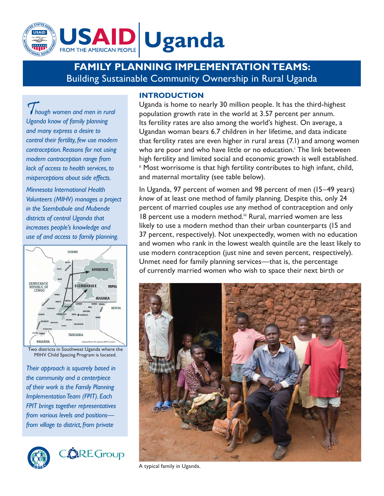

# **FAMILY PLANNING IMPLEMENTATION TEAMS:** Building Sustainable Community Ownership in Rural Uganda

T*hough women and men in rural Uganda know of family planning and many express a desire to control their fertility, few use modern contraception. Reasons for not using modern contraception range from lack of access to health services, to misperceptions about side effects.* 

*Minnesota International Health Volunteers (MIHV) manages a project in the Ssembabule and Mubende districts of central Uganda that increases people's knowledge and use of and access to family planning.* 



Two districts in Southwest Uganda where the MIHV Child Spacing Program is located.

*Their approach is squarely based in the community and a centerpiece of their work is the Family Planning Implementation Team (FPIT). Each FPIT brings together representatives from various levels and positions from village to district, from private* 



# **INTRODUCTION**

Uganda is home to nearly 30 million people. It has the third-highest population growth rate in the world at 3.57 percent per annum. Its fertility rates are also among the world's highest. On average, a Ugandan woman bears 6.7 children in her lifetime, and data indicate that fertility rates are even higher in rural areas (7.1) and among women who are poor and who have little or no education.<sup>†</sup> The link between high fertility and limited social and economic growth is well established. ii Most worrisome is that high fertility contributes to high infant, child, and maternal mortality (see table below).

In Uganda, 97 percent of women and 98 percent of men (15–49 years) *know* of at least one method of family planning. Despite this, only 24 percent of married couples *use* any method of contraception and only 18 percent use a modern method.<sup>iii</sup> Rural, married women are less likely to use a modern method than their urban counterparts (15 and 37 percent, respectively). Not unexpectedly, women with no education and women who rank in the lowest wealth quintile are the least likely to use modern contraception (just nine and seven percent, respectively). Unmet need for family planning services—that is, the percentage of currently married women who wish to space their next birth or



A typical family in Uganda.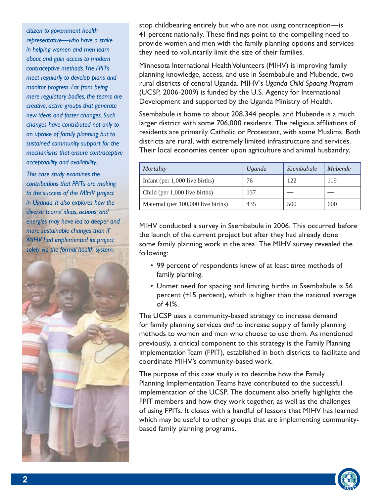*citizen to government health representative—who have a stake in helping women and men learn about and gain access to modern contraceptive methods. The FPITs meet regularly to develop plans and monitor progress. Far from being mere regulatory bodies, the teams are creative, active groups that generate new ideas and foster changes. Such changes have contributed not only to an uptake of family planning but to sustained community support for the mechanisms that ensure contraceptive acceptability and availability.*

*This case study examines the contributions that FPITs are making to the success of the MIHV project in Uganda. It also explores how the diverse teams' ideas, actions, and energies may have led to deeper and more sustainable changes than if MIHV had implemented its project solely via the formal health system.*



stop childbearing entirely but who are not using contraception—is 41 percent nationally. These findings point to the compelling need to provide women and men with the family planning options and services they need to voluntarily limit the size of their families.

Minnesota International Health Volunteers (MIHV) is improving family planning knowledge, access, and use in Ssembabule and Mubende, two rural districts of central Uganda. MIHV's *Uganda Child Spacing Program* (UCSP, 2006-2009) is funded by the U.S. Agency for International Development and supported by the Uganda Ministry of Health.

Ssembabule is home to about 208,344 people, and Mubende is a much larger district with some 706,000 residents. The religious affiliations of residents are primarily Catholic or Protestant, with some Muslims. Both districts are rural, with extremely limited infrastructure and services. Their local economies center upon agriculture and animal husbandry.

| Mortality                          | Uganda | Ssembabule | <i>Mubende</i> |
|------------------------------------|--------|------------|----------------|
| Infant (per $1,000$ live births)   | 76     | 122        | 119            |
| Child (per 1,000 live births)      | 137    |            |                |
| Maternal (per 100,000 live births) | 435    | 500        | 600            |

MIHV conducted a survey in Ssembabule in 2006. This occurred before the launch of the current project but after they had already done some family planning work in the area. The MIHV survey revealed the following:

- 99 percent of respondents knew of at least *three* methods of family planning.
- Unmet need for spacing and limiting births in Ssembabule is 56 percent (±15 percent), which is higher than the national average of 41%.

The UCSP uses a community-based strategy to increase demand for family planning services *and* to increase supply of family planning methods to women and men who choose to use them. As mentioned previously, a critical component to this strategy is the Family Planning Implementation Team (FPIT), established in both districts to facilitate and coordinate MIHV's community-based work.

The purpose of this case study is to describe how the Family Planning Implementation Teams have contributed to the successful implementation of the UCSP. The document also briefly highlights the FPIT members and how they work together, as well as the challenges of using FPITs. It closes with a handful of lessons that MIHV has learned which may be useful to other groups that are implementing communitybased family planning programs.

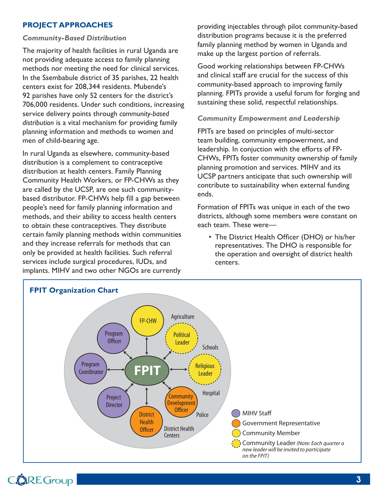# **PROJECT APPROACHES**

## *Community-Based Distribution*

The majority of health facilities in rural Uganda are not providing adequate access to family planning methods nor meeting the need for clinical services. In the Ssembabule district of 35 parishes, 22 health centers exist for 208,344 residents. Mubende's 92 parishes have only 52 centers for the district's 706,000 residents. Under such conditions, increasing service delivery points through *community-based distribution* is a vital mechanism for providing family planning information and methods to women and men of child-bearing age.

In rural Uganda as elsewhere, community-based distribution is a complement to contraceptive distribution at health centers. Family Planning Community Health Workers, or FP-CHWs as they are called by the UCSP, are one such communitybased distributor. FP-CHWs help fill a gap between people's need for family planning information and methods, and their ability to access health centers to obtain these contraceptives. They distribute certain family planning methods within communities and they increase referrals for methods that can only be provided at health facilities. Such referral services include surgical procedures, IUDs, and implants. MIHV and two other NGOs are currently

providing injectables through pilot community-based distribution programs because it is the preferred family planning method by women in Uganda and make up the largest portion of referrals.

Good working relationships between FP-CHWs and clinical staff are crucial for the success of this community-based approach to improving family planning. FPITs provide a useful forum for forging and sustaining these solid, respectful relationships.

### *Community Empowerment and Leadership*

FPITs are based on principles of multi-sector team building, community empowerment, and leadership. In conjuction with the efforts of FP-CHWs, FPITs foster community ownership of family planning promotion and services. MIHV and its UCSP partners anticipate that such ownership will contribute to sustainability when external funding ends.

Formation of FPITs was unique in each of the two districts, although some members were constant on each team. These were—

• The District Health Officer (DHO) or his/her representatives. The DHO is responsible for the operation and oversight of district health centers.

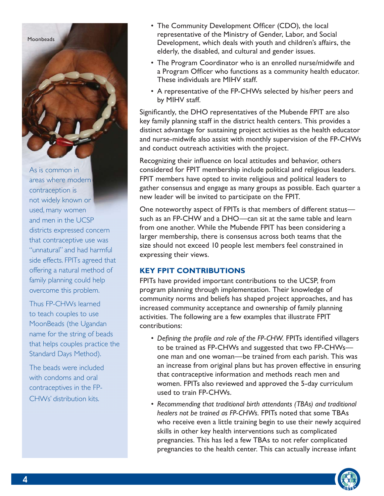

As is common in areas where modern contraception is not widely known or used, many women and men in the UCSP districts expressed concern that contraceptive use was "unnatural" and had harmful side effects. FPITs agreed that offering a natural method of family planning could help overcome this problem.

Thus FP-CHWs learned to teach couples to use MoonBeads (the Ugandan name for the string of beads that helps couples practice the Standard Days Method).

The beads were included with condoms and oral contraceptives in the FP-CHWs' distribution kits.

- The Community Development Officer (CDO), the local representative of the Ministry of Gender, Labor, and Social Development, which deals with youth and children's affairs, the elderly, the disabled, and cultural and gender issues.
- The Program Coordinator who is an enrolled nurse/midwife and a Program Officer who functions as a community health educator. These individuals are MIHV staff.
- A representative of the FP-CHWs selected by his/her peers and by MIHV staff.

Significantly, the DHO representatives of the Mubende FPIT are also key family planning staff in the district health centers. This provides a distinct advantage for sustaining project activities as the health educator and nurse-midwife also assist with monthly supervision of the FP-CHWs and conduct outreach activities with the project.

Recognizing their influence on local attitudes and behavior, others considered for FPIT membership include political and religious leaders. FPIT members have opted to invite religious and political leaders to gather consensus and engage as many groups as possible. Each quarter a new leader will be invited to participate on the FPIT.

One noteworthy aspect of FPITs is that members of different status such as an FP-CHW and a DHO—can sit at the same table and learn from one another. While the Mubende FPIT has been considering a larger membership, there is consensus across both teams that the size should not exceed 10 people lest members feel constrained in expressing their views.

# **KEY FPIT CONTRIBUTIONS**

FPITs have provided important contributions to the UCSP, from program planning through implementation. Their knowledge of community norms and beliefs has shaped project approaches, and has increased community acceptance and ownership of family planning activities. The following are a few examples that illustrate FPIT contributions:

- Defining the profile and role of the FP-CHW. FPITs identified villagers to be trained as FP-CHWs and suggested that two FP-CHWs one man and one woman—be trained from each parish. This was an increase from original plans but has proven effective in ensuring that contraceptive information and methods reach men and women. FPITs also reviewed and approved the 5-day curriculum used to train FP-CHWs.
- *Recommending that traditional birth attendants (TBAs) and traditional healers not be trained as FP-CHWs.* FPITs noted that some TBAs who receive even a little training begin to use their newly acquired skills in other key health interventions such as complicated pregnancies. This has led a few TBAs to not refer complicated pregnancies to the health center. This can actually increase infant

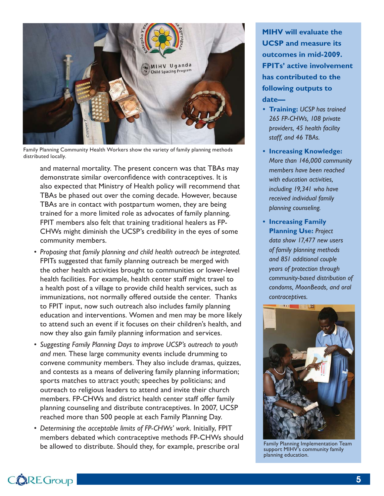

Family Planning Community Health Workers show the variety of family planning methods distributed locally.

and maternal mortality. The present concern was that TBAs may demonstrate similar overconfidence with contraceptives. It is also expected that Ministry of Health policy will recommend that TBAs be phased out over the coming decade. However, because TBAs are in contact with postpartum women, they are being trained for a more limited role as advocates of family planning. FPIT members also felt that training traditional healers as FP-CHWs might diminish the UCSP's credibility in the eyes of some community members.

- *Proposing that family planning and child health outreach be integrated.* FPITs suggested that family planning outreach be merged with the other health activities brought to communities or lower-level health facilities. For example, health center staff might travel to a health post of a village to provide child health services, such as immunizations, not normally offered outside the center. Thanks to FPIT input, now such outreach also includes family planning education and interventions. Women and men may be more likely to attend such an event if it focuses on their children's health, and now they also gain family planning information and services.
- *Suggesting Family Planning Days to improve UCSP's outreach to youth and men.* These large community events include drumming to convene community members. They also include dramas, quizzes, and contests as a means of delivering family planning information; sports matches to attract youth; speeches by politicians; and outreach to religious leaders to attend and invite their church members. FP-CHWs and district health center staff offer family planning counseling and distribute contraceptives. In 2007, UCSP reached more than 500 people at each Family Planning Day.
- *Determining the acceptable limits of FP-CHWs' work.* Initially, FPIT members debated which contraceptive methods FP-CHWs should be allowed to distribute. Should they, for example, prescribe oral

**MIHV will evaluate the UCSP and measure its outcomes in mid-2009. FPITs' active involvement has contributed to the following outputs to date—**

- **Training:** *UCSP has trained 265 FP-CHWs, 108 private providers, 45 health facility staff, and 46 TBAs.*
- **Increasing Knowledge:** *More than 146,000 community members have been reached with education activities, including 19,341 who have received individual family planning counseling.*
- **Increasing Family Planning Use:** *Project data show 17,477 new users of family planning methods and 851 additional couple years of protection through community-based distribution of condoms, MoonBeads, and oral contraceptives.*



Family Planning Implementation Team support MIHV's community family planning education.

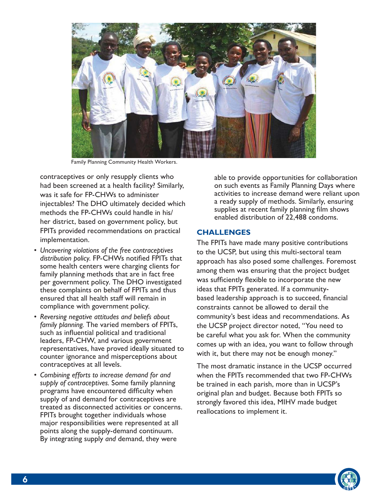

Family Planning Community Health Workers.

contraceptives or only resupply clients who had been screened at a health facility? Similarly, was it safe for FP-CHWs to administer injectables? The DHO ultimately decided which methods the FP-CHWs could handle in his/ her district, based on government policy, but FPITs provided recommendations on practical implementation.

- *Uncovering violations of the free contraceptives*  distribution policy. FP-CHWs notified FPITs that some health centers were charging clients for family planning methods that are in fact free per government policy. The DHO investigated these complaints on behalf of FPITs and thus ensured that all health staff will remain in compliance with government policy.
- *Reversing negative attitudes and beliefs about family planning.* The varied members of FPITs, such as influential political and traditional leaders, FP-CHW, and various government representatives, have proved ideally situated to counter ignorance and misperceptions about contraceptives at all levels.
- *Combining efforts to increase demand for and supply of contraceptives.* Some family planning programs have encountered difficulty when supply of and demand for contraceptives are treated as disconnected activities or concerns. FPITs brought together individuals whose major responsibilities were represented at all points along the supply-demand continuum. By integrating supply *and* demand, they were

able to provide opportunities for collaboration on such events as Family Planning Days where activities to increase demand were reliant upon a ready supply of methods. Similarly, ensuring supplies at recent family planning film shows enabled distribution of 22,488 condoms.

## **CHALLENGES**

The FPITs have made many positive contributions to the UCSP, but using this multi-sectoral team approach has also posed some challenges. Foremost among them was ensuring that the project budget was sufficiently flexible to incorporate the new ideas that FPITs generated. If a communitybased leadership approach is to succeed, financial constraints cannot be allowed to derail the community's best ideas and recommendations. As the UCSP project director noted, "You need to be careful what you ask for. When the community comes up with an idea, you want to follow through with it, but there may not be enough money."

The most dramatic instance in the UCSP occurred when the FPITs recommended that two FP-CHWs be trained in each parish, more than in UCSP's original plan and budget. Because both FPITs so strongly favored this idea, MIHV made budget reallocations to implement it.

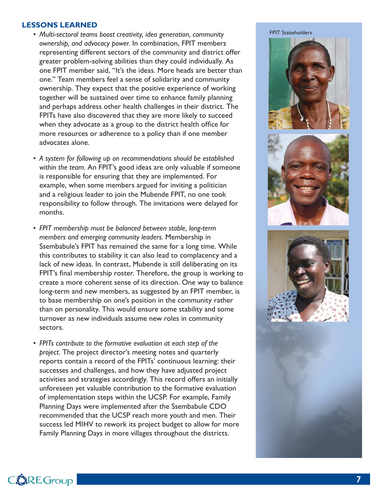#### **LESSONS LEARNED**

- *Multi-sectoral teams boost creativity, idea generation, community ownership, and advocacy power*. In combination, FPIT members representing different sectors of the community and district offer greater problem-solving abilities than they could individually. As one FPIT member said, "It's the ideas. More heads are better than one." Team members feel a sense of solidarity and community ownership. They expect that the positive experience of working together will be sustained over time to enhance family planning and perhaps address other health challenges in their district. The FPITs have also discovered that they are more likely to succeed when they advocate as a group to the district health office for more resources or adherence to a policy than if one member advocates alone.
- *A system for following up on recommendations should be established within the team.* An FPIT's good ideas are only valuable if someone is responsible for ensuring that they are implemented. For example, when some members argued for inviting a politician and a religious leader to join the Mubende FPIT, no one took responsibility to follow through. The invitations were delayed for months.
- *FPIT membership must be balanced between stable, long-term members and emerging community leaders.* Membership in Ssembabule's FPIT has remained the same for a long time. While this contributes to stability it can also lead to complacency and a lack of new ideas. In contrast, Mubende is still deliberating on its FPIT's final membership roster. Therefore, the group is working to create a more coherent sense of its direction. One way to balance long-term and new members, as suggested by an FPIT member, is to base membership on one's position in the community rather than on personality. This would ensure some stability and some turnover as new individuals assume new roles in community sectors.
- *FPITs contribute to the formative evaluation at each step of the project.* The project director's meeting notes and quarterly reports contain a record of the FPITs' continuous learning: their successes and challenges, and how they have adjusted project activities and strategies accordingly. This record offers an initially unforeseen yet valuable contribution to the formative evaluation of implementation steps within the UCSP. For example, Family Planning Days were implemented after the Ssembabule CDO recommended that the UCSP reach more youth and men. Their success led MIHV to rework its project budget to allow for more Family Planning Days in more villages throughout the districts.